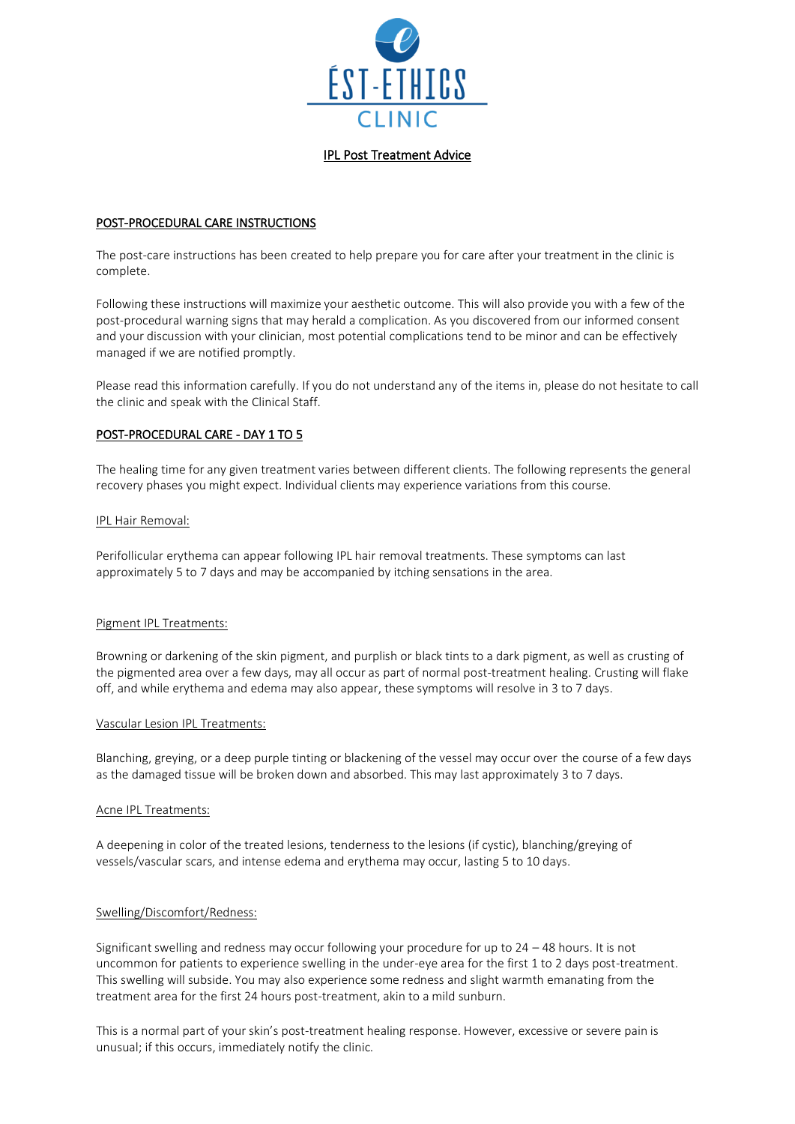

## IPL Post Treatment Advice

## POST-PROCEDURAL CARE INSTRUCTIONS

The post-care instructions has been created to help prepare you for care after your treatment in the clinic is complete.

Following these instructions will maximize your aesthetic outcome. This will also provide you with a few of the post-procedural warning signs that may herald a complication. As you discovered from our informed consent and your discussion with your clinician, most potential complications tend to be minor and can be effectively managed if we are notified promptly.

Please read this information carefully. If you do not understand any of the items in, please do not hesitate to call the clinic and speak with the Clinical Staff.

# POST-PROCEDURAL CARE - DAY 1 TO 5

The healing time for any given treatment varies between different clients. The following represents the general recovery phases you might expect. Individual clients may experience variations from this course.

#### IPL Hair Removal:

Perifollicular erythema can appear following IPL hair removal treatments. These symptoms can last approximately 5 to 7 days and may be accompanied by itching sensations in the area.

## Pigment IPL Treatments:

Browning or darkening of the skin pigment, and purplish or black tints to a dark pigment, as well as crusting of the pigmented area over a few days, may all occur as part of normal post-treatment healing. Crusting will flake off, and while erythema and edema may also appear, these symptoms will resolve in 3 to 7 days.

#### Vascular Lesion IPL Treatments:

Blanching, greying, or a deep purple tinting or blackening of the vessel may occur over the course of a few days as the damaged tissue will be broken down and absorbed. This may last approximately 3 to 7 days.

#### Acne IPL Treatments:

A deepening in color of the treated lesions, tenderness to the lesions (if cystic), blanching/greying of vessels/vascular scars, and intense edema and erythema may occur, lasting 5 to 10 days.

## Swelling/Discomfort/Redness:

Significant swelling and redness may occur following your procedure for up to 24 – 48 hours. It is not uncommon for patients to experience swelling in the under-eye area for the first 1 to 2 days post-treatment. This swelling will subside. You may also experience some redness and slight warmth emanating from the treatment area for the first 24 hours post-treatment, akin to a mild sunburn.

This is a normal part of your skin's post-treatment healing response. However, excessive or severe pain is unusual; if this occurs, immediately notify the clinic.